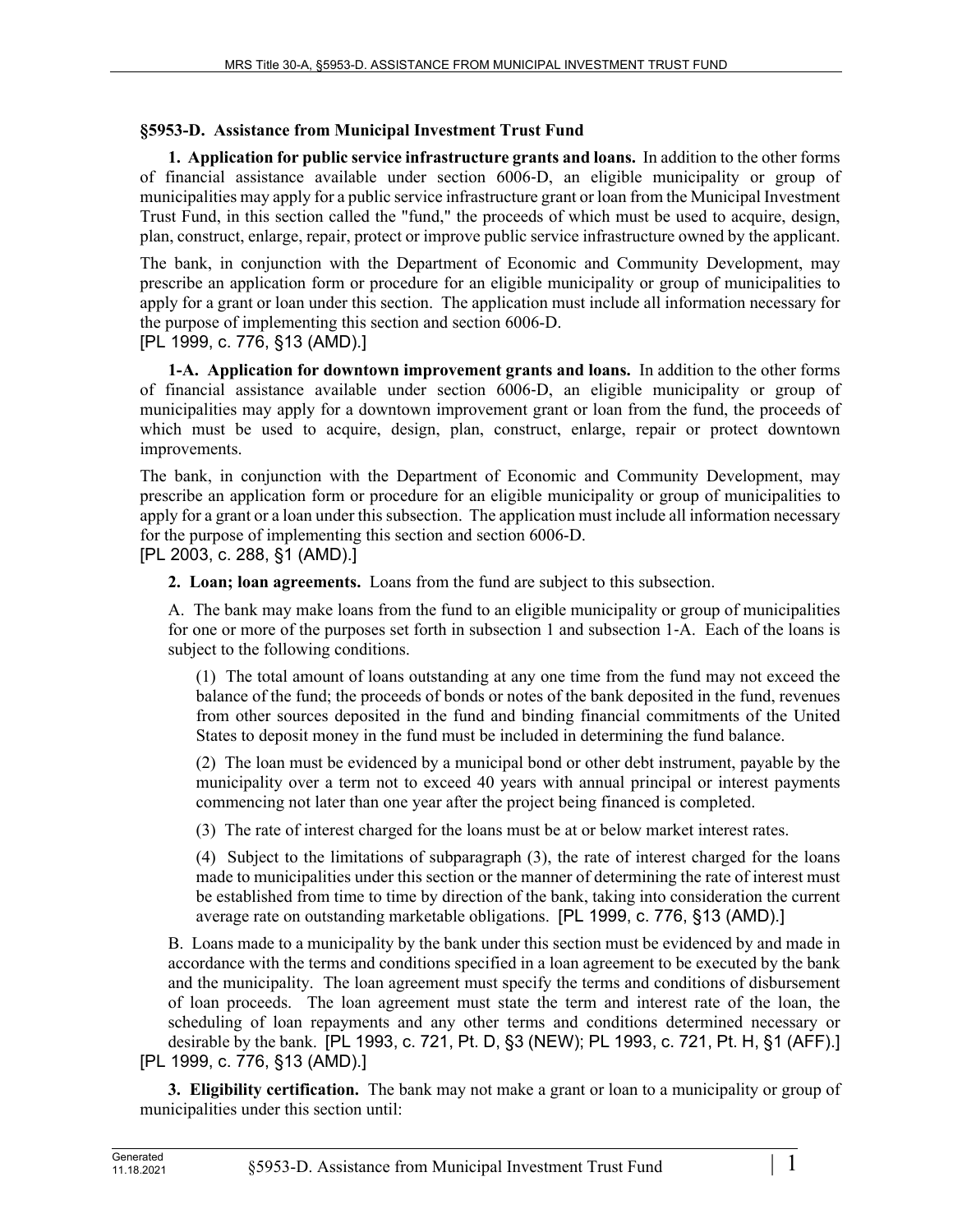## **§5953-D. Assistance from Municipal Investment Trust Fund**

**1. Application for public service infrastructure grants and loans.** In addition to the other forms of financial assistance available under section 6006‑D, an eligible municipality or group of municipalities may apply for a public service infrastructure grant or loan from the Municipal Investment Trust Fund, in this section called the "fund," the proceeds of which must be used to acquire, design, plan, construct, enlarge, repair, protect or improve public service infrastructure owned by the applicant.

The bank, in conjunction with the Department of Economic and Community Development, may prescribe an application form or procedure for an eligible municipality or group of municipalities to apply for a grant or loan under this section. The application must include all information necessary for the purpose of implementing this section and section 6006-D.

[PL 1999, c. 776, §13 (AMD).]

**1-A. Application for downtown improvement grants and loans.** In addition to the other forms of financial assistance available under section 6006‑D, an eligible municipality or group of municipalities may apply for a downtown improvement grant or loan from the fund, the proceeds of which must be used to acquire, design, plan, construct, enlarge, repair or protect downtown improvements.

The bank, in conjunction with the Department of Economic and Community Development, may prescribe an application form or procedure for an eligible municipality or group of municipalities to apply for a grant or a loan under this subsection. The application must include all information necessary for the purpose of implementing this section and section 6006-D. [PL 2003, c. 288, §1 (AMD).]

**2. Loan; loan agreements.** Loans from the fund are subject to this subsection.

A. The bank may make loans from the fund to an eligible municipality or group of municipalities for one or more of the purposes set forth in subsection 1 and subsection 1‑A. Each of the loans is subject to the following conditions.

(1) The total amount of loans outstanding at any one time from the fund may not exceed the balance of the fund; the proceeds of bonds or notes of the bank deposited in the fund, revenues from other sources deposited in the fund and binding financial commitments of the United States to deposit money in the fund must be included in determining the fund balance.

(2) The loan must be evidenced by a municipal bond or other debt instrument, payable by the municipality over a term not to exceed 40 years with annual principal or interest payments commencing not later than one year after the project being financed is completed.

(3) The rate of interest charged for the loans must be at or below market interest rates.

(4) Subject to the limitations of subparagraph (3), the rate of interest charged for the loans made to municipalities under this section or the manner of determining the rate of interest must be established from time to time by direction of the bank, taking into consideration the current average rate on outstanding marketable obligations. [PL 1999, c. 776, §13 (AMD).]

B. Loans made to a municipality by the bank under this section must be evidenced by and made in accordance with the terms and conditions specified in a loan agreement to be executed by the bank and the municipality. The loan agreement must specify the terms and conditions of disbursement of loan proceeds. The loan agreement must state the term and interest rate of the loan, the scheduling of loan repayments and any other terms and conditions determined necessary or desirable by the bank. [PL 1993, c. 721, Pt. D, §3 (NEW); PL 1993, c. 721, Pt. H, §1 (AFF).] [PL 1999, c. 776, §13 (AMD).]

**3. Eligibility certification.** The bank may not make a grant or loan to a municipality or group of municipalities under this section until: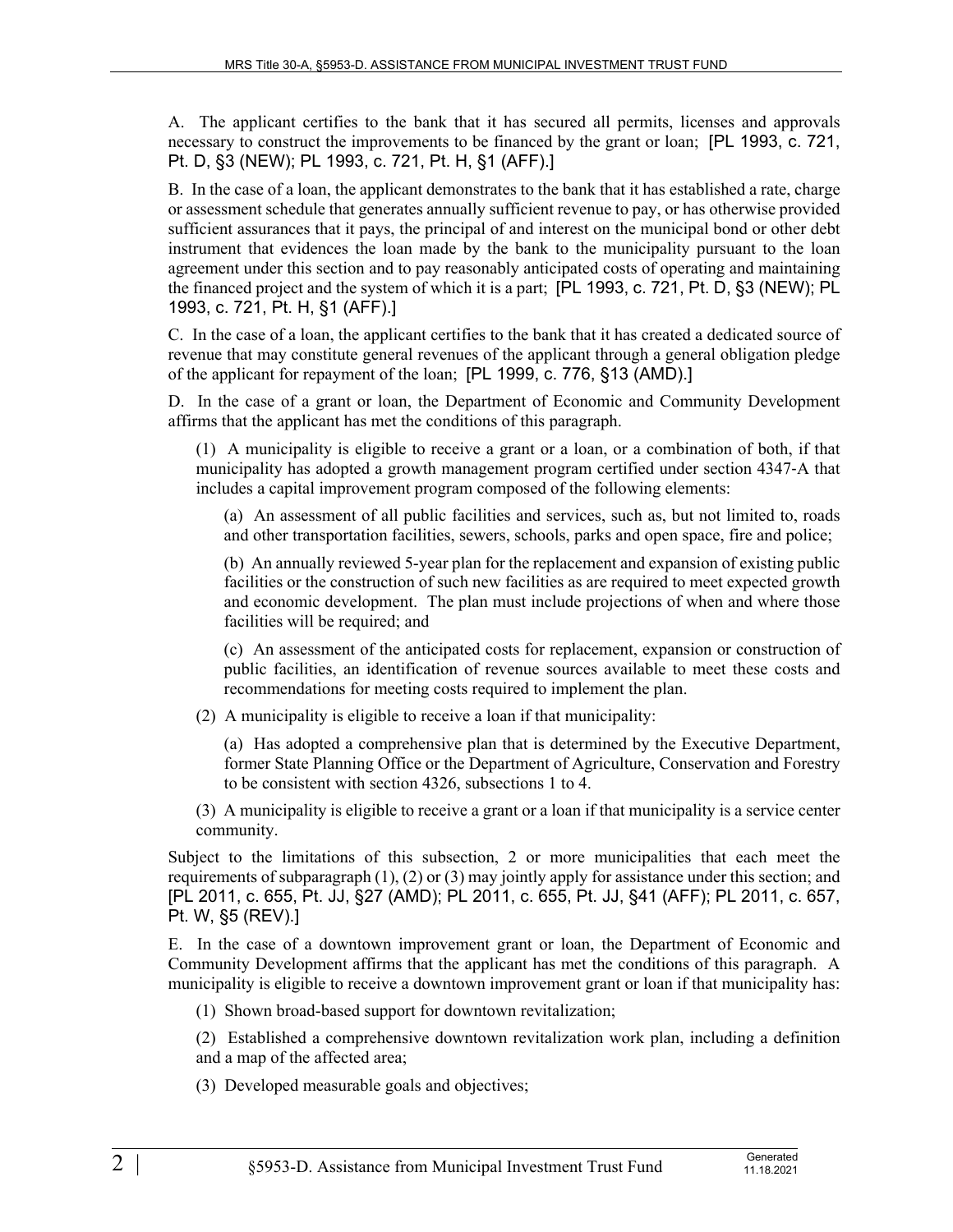A. The applicant certifies to the bank that it has secured all permits, licenses and approvals necessary to construct the improvements to be financed by the grant or loan; [PL 1993, c. 721, Pt. D, §3 (NEW); PL 1993, c. 721, Pt. H, §1 (AFF).]

B. In the case of a loan, the applicant demonstrates to the bank that it has established a rate, charge or assessment schedule that generates annually sufficient revenue to pay, or has otherwise provided sufficient assurances that it pays, the principal of and interest on the municipal bond or other debt instrument that evidences the loan made by the bank to the municipality pursuant to the loan agreement under this section and to pay reasonably anticipated costs of operating and maintaining the financed project and the system of which it is a part; [PL 1993, c. 721, Pt. D, §3 (NEW); PL 1993, c. 721, Pt. H, §1 (AFF).]

C. In the case of a loan, the applicant certifies to the bank that it has created a dedicated source of revenue that may constitute general revenues of the applicant through a general obligation pledge of the applicant for repayment of the loan; [PL 1999, c. 776, §13 (AMD).]

D. In the case of a grant or loan, the Department of Economic and Community Development affirms that the applicant has met the conditions of this paragraph.

(1) A municipality is eligible to receive a grant or a loan, or a combination of both, if that municipality has adopted a growth management program certified under section 4347‑A that includes a capital improvement program composed of the following elements:

(a) An assessment of all public facilities and services, such as, but not limited to, roads and other transportation facilities, sewers, schools, parks and open space, fire and police;

(b) An annually reviewed 5-year plan for the replacement and expansion of existing public facilities or the construction of such new facilities as are required to meet expected growth and economic development. The plan must include projections of when and where those facilities will be required; and

(c) An assessment of the anticipated costs for replacement, expansion or construction of public facilities, an identification of revenue sources available to meet these costs and recommendations for meeting costs required to implement the plan.

(2) A municipality is eligible to receive a loan if that municipality:

(a) Has adopted a comprehensive plan that is determined by the Executive Department, former State Planning Office or the Department of Agriculture, Conservation and Forestry to be consistent with section 4326, subsections 1 to 4.

(3) A municipality is eligible to receive a grant or a loan if that municipality is a service center community.

Subject to the limitations of this subsection, 2 or more municipalities that each meet the requirements of subparagraph  $(1)$ ,  $(2)$  or  $(3)$  may jointly apply for assistance under this section; and [PL 2011, c. 655, Pt. JJ, §27 (AMD); PL 2011, c. 655, Pt. JJ, §41 (AFF); PL 2011, c. 657, Pt. W, §5 (REV).]

E. In the case of a downtown improvement grant or loan, the Department of Economic and Community Development affirms that the applicant has met the conditions of this paragraph. A municipality is eligible to receive a downtown improvement grant or loan if that municipality has:

(1) Shown broad-based support for downtown revitalization;

(2) Established a comprehensive downtown revitalization work plan, including a definition and a map of the affected area;

(3) Developed measurable goals and objectives;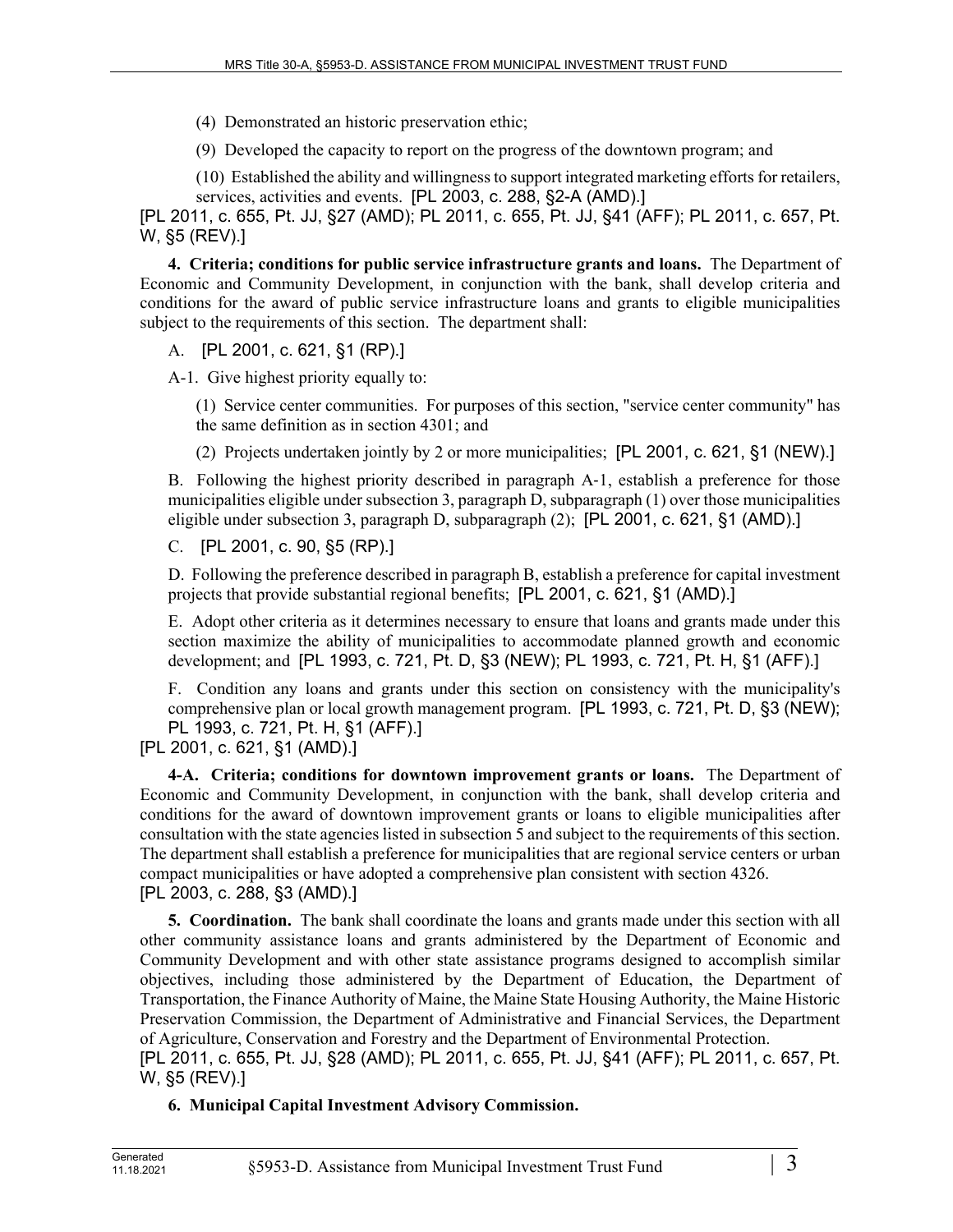(4) Demonstrated an historic preservation ethic;

(9) Developed the capacity to report on the progress of the downtown program; and

(10) Established the ability and willingness to support integrated marketing efforts for retailers, services, activities and events. [PL 2003, c. 288, §2-A (AMD).]

[PL 2011, c. 655, Pt. JJ, §27 (AMD); PL 2011, c. 655, Pt. JJ, §41 (AFF); PL 2011, c. 657, Pt. W, §5 (REV).]

**4. Criteria; conditions for public service infrastructure grants and loans.** The Department of Economic and Community Development, in conjunction with the bank, shall develop criteria and conditions for the award of public service infrastructure loans and grants to eligible municipalities subject to the requirements of this section. The department shall:

A. [PL 2001, c. 621, §1 (RP).]

A-1. Give highest priority equally to:

(1) Service center communities. For purposes of this section, "service center community" has the same definition as in section 4301; and

(2) Projects undertaken jointly by 2 or more municipalities; [PL 2001, c. 621, §1 (NEW).]

B. Following the highest priority described in paragraph A–1, establish a preference for those municipalities eligible under subsection 3, paragraph D, subparagraph (1) over those municipalities eligible under subsection 3, paragraph D, subparagraph (2); [PL 2001, c. 621, §1 (AMD).]

C. [PL 2001, c. 90, §5 (RP).]

D. Following the preference described in paragraph B, establish a preference for capital investment projects that provide substantial regional benefits; [PL 2001, c. 621, §1 (AMD).]

E. Adopt other criteria as it determines necessary to ensure that loans and grants made under this section maximize the ability of municipalities to accommodate planned growth and economic development; and [PL 1993, c. 721, Pt. D, §3 (NEW); PL 1993, c. 721, Pt. H, §1 (AFF).]

F. Condition any loans and grants under this section on consistency with the municipality's comprehensive plan or local growth management program. [PL 1993, c. 721, Pt. D, §3 (NEW); PL 1993, c. 721, Pt. H, §1 (AFF).]

[PL 2001, c. 621, §1 (AMD).]

**4-A. Criteria; conditions for downtown improvement grants or loans.** The Department of Economic and Community Development, in conjunction with the bank, shall develop criteria and conditions for the award of downtown improvement grants or loans to eligible municipalities after consultation with the state agencies listed in subsection 5 and subject to the requirements of this section. The department shall establish a preference for municipalities that are regional service centers or urban compact municipalities or have adopted a comprehensive plan consistent with section 4326. [PL 2003, c. 288, §3 (AMD).]

**5. Coordination.** The bank shall coordinate the loans and grants made under this section with all other community assistance loans and grants administered by the Department of Economic and Community Development and with other state assistance programs designed to accomplish similar objectives, including those administered by the Department of Education, the Department of Transportation, the Finance Authority of Maine, the Maine State Housing Authority, the Maine Historic Preservation Commission, the Department of Administrative and Financial Services, the Department of Agriculture, Conservation and Forestry and the Department of Environmental Protection. [PL 2011, c. 655, Pt. JJ, §28 (AMD); PL 2011, c. 655, Pt. JJ, §41 (AFF); PL 2011, c. 657, Pt.

**6. Municipal Capital Investment Advisory Commission.** 

W, §5 (REV).]